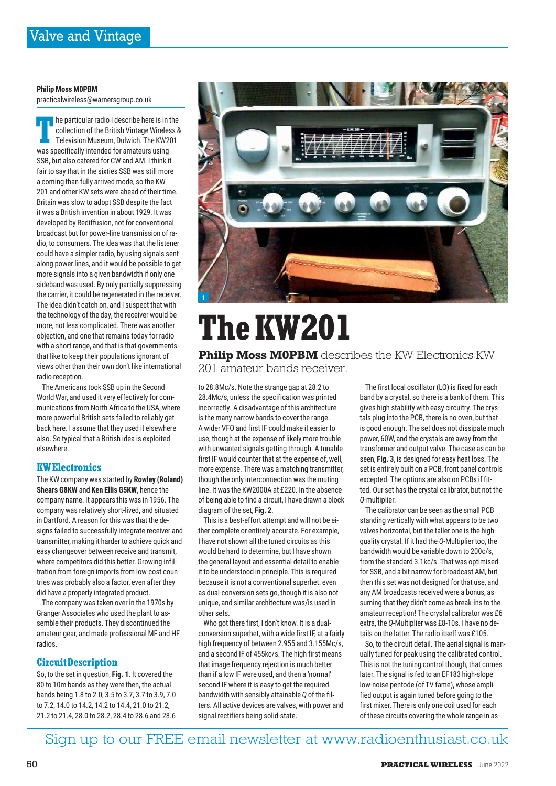# **Philip Moss M0PBM**

practicalwireless@warnersgroup.co.uk

The particular radio I describe here is in the collection of the British Vintage Wireles<br>
Television Museum, Dulwich. The KW2<br>
was specifically intended for amateurs using he particular radio I describe here is in the collection of the British Vintage Wireless & Television Museum, Dulwich. The KW201 SSB, but also catered for CW and AM. I think it fair to say that in the sixties SSB was still more a coming than fully arrived mode, so the KW 201 and other KW sets were ahead of their time. Britain was slow to adopt SSB despite the fact it was a British invention in about 1929. It was developed by Rediffusion, not for conventional broadcast but for power-line transmission of radio, to consumers. The idea was that the listener could have a simpler radio, by using signals sent along power lines, and it would be possible to get more signals into a given bandwidth if only one sideband was used. By only partially suppressing the carrier, it could be regenerated in the receiver. The idea didn't catch on, and I suspect that with the technology of the day, the receiver would be more, not less complicated. There was another objection, and one that remains today for radio with a short range, and that is that governments that like to keep their populations ignorant of views other than their own don't like international radio reception.

The Americans took SSB up in the Second World War, and used it very effectively for communications from North Africa to the USA, where more powerful British sets failed to reliably get back here. I assume that they used it elsewhere also. So typical that a British idea is exploited elsewhere.

# **KW Electronics**

The KW company was started by **Rowley (Roland) Shears G8KW** and **Ken Ellis G5KW**, hence the company name. It appears this was in 1956. The company was relatively short-lived, and situated in Dartford. A reason for this was that the designs failed to successfully integrate receiver and transmitter, making it harder to achieve quick and easy changeover between receive and transmit, where competitors did this better. Growing infiltration from foreign imports from low-cost countries was probably also a factor, even after they did have a properly integrated product.

The company was taken over in the 1970s by Granger Associates who used the plant to assemble their products. They discontinued the amateur gear, and made professional MF and HF radios.

# **Circuit Description**

So, to the set in question, **Fig. 1**. It covered the 80 to 10m bands as they were then, the actual bands being 1.8 to 2.0, 3.5 to 3.7, 3.7 to 3.9, 7.0 to 7.2, 14.0 to 14.2, 14.2 to 14.4, 21.0 to 21.2, 21.2 to 21.4, 28.0 to 28.2, 28.4 to 28.6 and 28.6



# **The KW201**

**Philip Moss M0PBM** describes the KW Electronics KW 201 amateur bands receiver.

to 28.8Mc/s. Note the strange gap at 28.2 to 28.4Mc/s, unless the specification was printed incorrectly. A disadvantage of this architecture is the many narrow bands to cover the range. A wider VFO and first IF could make it easier to use, though at the expense of likely more trouble with unwanted signals getting through. A tunable first IF would counter that at the expense of, well, more expense. There was a matching transmitter, though the only interconnection was the muting line. It was the KW2000A at £220. In the absence of being able to find a circuit, I have drawn a block diagram of the set, **Fig. 2**.

This is a best-effort attempt and will not be either complete or entirely accurate. For example, I have not shown all the tuned circuits as this would be hard to determine, but I have shown the general layout and essential detail to enable it to be understood in principle. This is required because it is not a conventional superhet: even as dual-conversion sets go, though it is also not unique, and similar architecture was/is used in other sets.

Who got there first, I don't know. It is a dualconversion superhet, with a wide first IF, at a fairly high frequency of between 2.955 and 3.155Mc/s, and a second IF of 455kc/s. The high first means that image frequency rejection is much better than if a low IF were used, and then a 'normal' second IF where it is easy to get the required bandwidth with sensibly attainable *Q* of the filters. All active devices are valves, with power and signal rectifiers being solid-state.

The first local oscillator (LO) is fixed for each band by a crystal, so there is a bank of them. This gives high stability with easy circuitry. The crystals plug into the PCB, there is no oven, but that is good enough. The set does not dissipate much power, 60W, and the crystals are away from the transformer and output valve. The case as can be seen, **Fig. 3**, is designed for easy heat loss. The set is entirely built on a PCB, front panel controls excepted. The options are also on PCBs if fitted. Our set has the crystal calibrator, but not the *Q*-multiplier.

The calibrator can be seen as the small PCB standing vertically with what appears to be two valves horizontal, but the taller one is the highquality crystal. If it had the *Q*-Multiplier too, the bandwidth would be variable down to 200c/s, from the standard 3.1kc/s. That was optimised for SSB, and a bit narrow for broadcast AM, but then this set was not designed for that use, and any AM broadcasts received were a bonus, assuming that they didn't come as break-ins to the amateur reception! The crystal calibrator was £6 extra, the *Q*-Multiplier was £8-10s. I have no details on the latter. The radio itself was £105.

So, to the circuit detail. The aerial signal is manually tuned for peak using the calibrated control. This is not the tuning control though, that comes later. The signal is fed to an EF183 high-slope low-noise pentode (of TV fame), whose amplified output is again tuned before going to the first mixer. There is only one coil used for each of these circuits covering the whole range in as-

Sign up to our FREE email newsletter at www.radioenthusiast.co.uk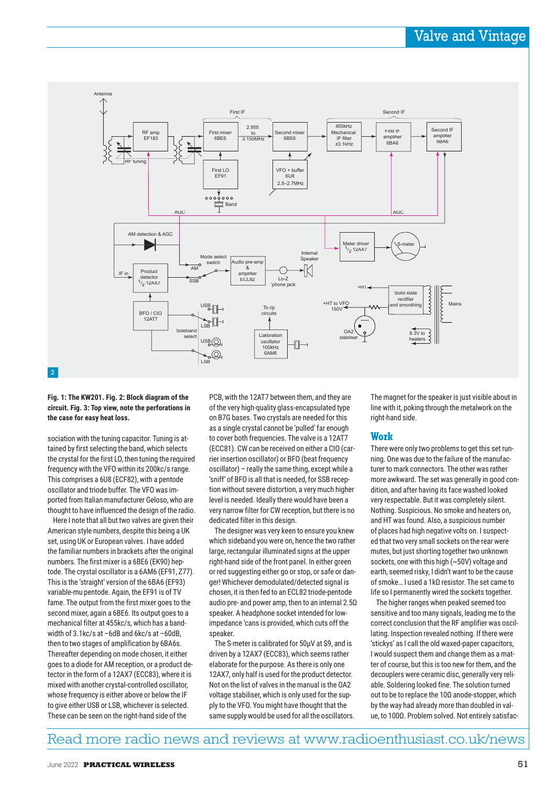

## **Fig. 1: The KW201. Fig. 2: Block diagram of the circuit. Fig. 3: Top view, note the perforations in the case for easy heat loss.**

sociation with the tuning capacitor. Tuning is attained by first selecting the band, which selects the crystal for the first LO, then tuning the required frequency with the VFO within its 200kc/s range. This comprises a 6U8 (ECF82), with a pentode oscillator and triode buffer. The VFO was imported from Italian manufacturer Geloso, who are thought to have influenced the design of the radio.

Here I note that all but two valves are given their American style numbers, despite this being a UK set, using UK or European valves. I have added the familiar numbers in brackets after the original numbers. The first mixer is a 6BE6 (EK90) heptode. The crystal oscillator is a 6AM6 (EF91, Z77). This is the 'straight' version of the 6BA6 (EF93) variable-mu pentode. Again, the EF91 is of TV fame. The output from the first mixer goes to the second mixer, again a 6BE6. Its output goes to a mechanical filter at 455kc/s, which has a bandwidth of 3.1kc/s at –6dB and 6kc/s at –60dB, then to two stages of amplification by 6BA6s. Thereafter depending on mode chosen, it either goes to a diode for AM reception, or a product detector in the form of a 12AX7 (ECC83), where it is mixed with another crystal-controlled oscillator, whose frequency is either above or below the IF to give either USB or LSB, whichever is selected. These can be seen on the right-hand side of the

PCB, with the 12AT7 between them, and they are of the very high-quality glass-encapsulated type on B7G bases. Two crystals are needed for this as a single crystal cannot be 'pulled' far enough to cover both frequencies. The valve is a 12AT7 (ECC81). CW can be received on either a CIO (carrier insertion oscillator) or BFO (beat frequency oscillator) – really the same thing, except while a 'sniff' of BFO is all that is needed, for SSB reception without severe distortion, a very much higher level is needed. Ideally there would have been a very narrow filter for CW reception, but there is no dedicated filter in this design.

The designer was very keen to ensure you knew which sideband you were on, hence the two rather large, rectangular illuminated signs at the upper right-hand side of the front panel. In either green or red suggesting either go or stop, or safe or danger! Whichever demodulated/detected signal is chosen, it is then fed to an ECL82 triode-pentode audio pre- and power amp, then to an internal 2.5Ω speaker. A headphone socket intended for lowimpedance 'cans is provided, which cuts off the speaker.

The S-meter is calibrated for 50µV at S9, and is driven by a 12AX7 (ECC83), which seems rather elaborate for the purpose. As there is only one 12AX7, only half is used for the product detector. Not on the list of valves in the manual is the OA2 voltage stabiliser, which is only used for the supply to the VFO. You might have thought that the same supply would be used for all the oscillators. The magnet for the speaker is just visible about in line with it, poking through the metalwork on the right-hand side.

# **Work**

There were only two problems to get this set running. One was due to the failure of the manufacturer to mark connectors. The other was rather more awkward. The set was generally in good condition, and after having its face washed looked very respectable. But it was completely silent. Nothing. Suspicious. No smoke and heaters on, and HT was found. Also, a suspicious number of places had high negative volts on. I suspected that two very small sockets on the rear were mutes, but just shorting together two unknown sockets, one with this high (~50V) voltage and earth, seemed risky, I didn't want to be the cause of smoke… I used a 1kΩ resistor. The set came to life so I permanently wired the sockets together.

The higher ranges when peaked seemed too sensitive and too many signals, leading me to the correct conclusion that the RF amplifier was oscillating. Inspection revealed nothing. If there were 'stickys' as I call the old waxed-paper capacitors, I would suspect them and change them as a matter of course, but this is too new for them, and the decouplers were ceramic disc, generally very reliable. Soldering looked fine. The solution turned out to be to replace the 10Ω anode-stopper, which by the way had already more than doubled in value, to 100Ω. Problem solved. Not entirely satisfac-

# Read more radio news and reviews at www.radioenthusiast.co.uk/news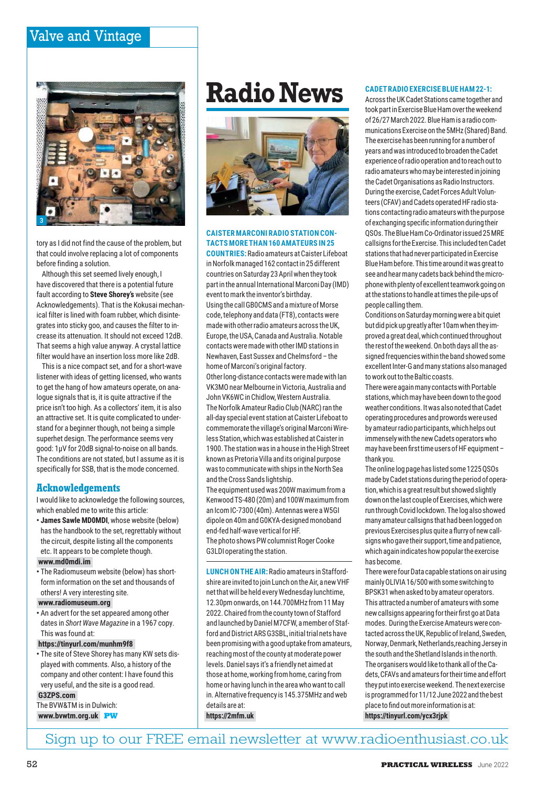# Valve and Vintage



tory as I did not find the cause of the problem, but that could involve replacing a lot of components before finding a solution.

Although this set seemed lively enough, I have discovered that there is a potential future fault according to **Steve Shorey's** website (see Acknowledgements). That is the Kokusai mechanical filter is lined with foam rubber, which disintegrates into sticky goo, and causes the filter to increase its attenuation. It should not exceed 12dB. That seems a high value anyway. A crystal lattice filter would have an insertion loss more like 2dB.

This is a nice compact set, and for a short-wave listener with ideas of getting licensed, who wants to get the hang of how amateurs operate, on analogue signals that is, it is quite attractive if the price isn't too high. As a collectors' item, it is also an attractive set. It is quite complicated to understand for a beginner though, not being a simple superhet design. The performance seems very good: 1µV for 20dB signal-to-noise on all bands. The conditions are not stated, but I assume as it is specifically for SSB, that is the mode concerned.

# **Acknowledgements**

I would like to acknowledge the following sources, which enabled me to write this article:

**• James Sawle MD0MDI**, whose website (below) has the handbook to the set, regrettably without the circuit, despite listing all the components etc. It appears to be complete though.

# **www.md0mdi.im**

**•** The Radiomuseum website (below) has shortform information on the set and thousands of others! A very interesting site.

### **www.radiomuseum.org**

**•** An advert for the set appeared among other dates in *Short Wave Magazine* in a 1967 copy. This was found at:

**https://tinyurl.com/munhm9f8**

**•** The site of Steve Shorey has many KW sets displayed with comments. Also, a history of the company and other content: I have found this very useful, and the site is a good read. **G3ZPS.com**

The BVW&TM is in Dulwich: **www.bvwtm.org.uk PW**

# Radio News **CADETRADIO EXERCISE BLUE HAM 22-1:**



# **CAISTER MARCONI RADIO STATION CON-TACTS MORE THAN 160 AMATEURS IN 25**

**COUNTRIES:** Radio amateurs at Caister Lifeboat in Norfolk managed 162 contact in 25 different countries on Saturday 23 April when they took part in the annual International Marconi Day (IMD) event to mark the inventor's birthday. Using the call GB0CMS and a mixture of Morse code, telephony and data (FT8), contacts were made with other radio amateurs across the UK, Europe, the USA, Canada and Australia. Notable contacts were made with other IMD stations in Newhaven, East Sussex and Chelmsford – the home of Marconi's original factory. Other long-distance contacts were made with Ian VK3MO near Melbourne in Victoria, Australia and John VK6WC in Chidlow, Western Australia.

The Norfolk Amateur Radio Club (NARC) ran the all-day special event station at Caister Lifeboat to commemorate the village's original Marconi Wireless Station, which was established at Caister in 1900. The station was in a house in the High Street known as Pretoria Villa and its original purpose was to communicate with ships in the North Sea and the Cross Sands lightship.

The equipment used was 200W maximum from a Kenwood TS-480 (20m) and 100W maximum from an Icom IC-7300 (40m). Antennas were a W5GI dipole on 40m and G0KYA-designed monoband end-fed half-wave vertical for HF. The photo shows PW columnist Roger Cooke G3LDI operating the station.

**LUNCH ON THE AIR:** Radio amateurs in Staffordshire are invited to join Lunch on the Air, a new VHF net that will be held every Wednesday lunchtime, 12.30pm onwards, on 144.700MHz from 11 May 2022. Chaired from the county town of Stafford and launched by Daniel M7CFW, a member of Stafford and District ARS G3SBL, initial trial nets have been promising with a good uptake from amateurs, reaching most of the county at moderate power levels. Daniel says it's a friendly net aimed at those at home, working from home, caring from home or having lunch in the area who want to call in. Alternative frequency is 145.375MHz and web details are at:

**https://2mfm.uk**

Across the UK Cadet Stations came together and took part in Exercise Blue Ham over the weekend of 26/27 March 2022. Blue Ham is a radio communications Exercise on the 5MHz (Shared) Band. The exercise has been running for a number of years and was introduced to broaden the Cadet experience of radio operation and to reach out to radio amateurs who may be interested in joining the Cadet Organisations as Radio Instructors. During the exercise, Cadet Forces Adult Volunteers (CFAV) and Cadets operated HF radio stations contacting radio amateurs with the purpose of exchanging specific information during their QSOs. The Blue Ham Co-Ordinator issued 25 MRE callsigns for the Exercise. This included ten Cadet stations that had never participated in Exercise Blue Ham before. This time around it was great to see and hear many cadets back behind the microphone with plenty of excellent teamwork going on at the stations to handle at times the pile-ups of people calling them.

Conditions on Saturday morning were a bit quiet but did pick up greatly after 10am when they improved a great deal, which continued throughout the rest of the weekend. On both days all the assigned frequencies within the band showed some excellent Inter-G and many stations also managed to work out to the Baltic coasts.

There were again many contacts with Portable stations, which may have been down to the good weather conditions. It was also noted that Cadet operating procedures and prowords were used by amateur radio participants, which helps out immensely with the new Cadets operators who may have been first time users of HF equipment – thank you.

The online log page has listed some 1225 QSOs made by Cadet stations during the period of operation, which is a great result but showed slightly down on the last couple of Exercises, which were run through Covid lockdown. The log also showed many amateur callsigns that had been logged on previous Exercises plus quite a flurry of new callsigns who gave their support, time and patience, which again indicates how popular the exercise has become.

There were four Data capable stations on air using mainly OLIVIA 16/500 with some switching to BPSK31 when asked to by amateur operators. This attracted a number of amateurs with some new callsigns appearing for their first go at Data modes. During the Exercise Amateurs were contacted across the UK, Republic of Ireland, Sweden, Norway, Denmark, Netherlands,reaching Jersey in the south and the Shetland Islands in the north. The organisers would like to thank all of the Cadets, CFAVs and amateurs for their time and effort they put into exercise weekend. The next exercise is programmed for 11/12 June 2022 and the best place to find out more information is at: **https://tinyurl.com/ycx3rjpk**

Sign up to our FREE email newsletter at www.radioenthusiast.co.uk